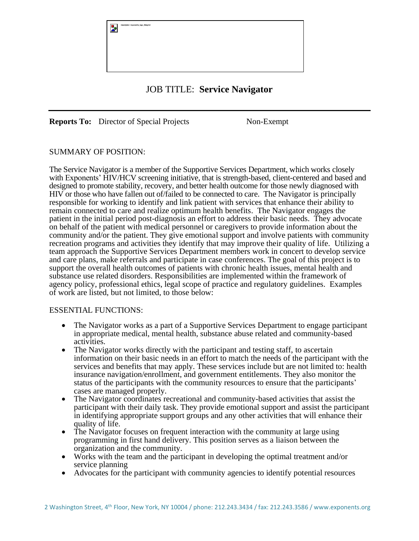

# JOB TITLE: **Service Navigator**

**Reports To:** Director of Special Projects Non-Exempt

## SUMMARY OF POSITION:

The Service Navigator is a member of the Supportive Services Department, which works closely with Exponents' HIV/HCV screening initiative, that is strength-based, client-centered and based and designed to promote stability, recovery, and better health outcome for those newly diagnosed with HIV or those who have fallen out of/failed to be connected to care. The Navigator is principally responsible for working to identify and link patient with services that enhance their ability to remain connected to care and realize optimum health benefits. The Navigator engages the patient in the initial period post-diagnosis an effort to address their basic needs. They advocate on behalf of the patient with medical personnel or caregivers to provide information about the community and/or the patient. They give emotional support and involve patients with community recreation programs and activities they identify that may improve their quality of life. Utilizing a team approach the Supportive Services Department members work in concert to develop service and care plans, make referrals and participate in case conferences. The goal of this project is to support the overall health outcomes of patients with chronic health issues, mental health and substance use related disorders. Responsibilities are implemented within the framework of agency policy, professional ethics, legal scope of practice and regulatory guidelines. Examples of work are listed, but not limited, to those below:

#### ESSENTIAL FUNCTIONS:

- The Navigator works as a part of a Supportive Services Department to engage participant in appropriate medical, mental health, substance abuse related and community-based activities.
- The Navigator works directly with the participant and testing staff, to ascertain information on their basic needs in an effort to match the needs of the participant with the services and benefits that may apply. These services include but are not limited to: health insurance navigation/enrollment, and government entitlements. They also monitor the status of the participants with the community resources to ensure that the participants' cases are managed properly.
- The Navigator coordinates recreational and community-based activities that assist the participant with their daily task. They provide emotional support and assist the participant in identifying appropriate support groups and any other activities that will enhance their quality of life.
- The Navigator focuses on frequent interaction with the community at large using programming in first hand delivery. This position serves as a liaison between the organization and the community.
- Works with the team and the participant in developing the optimal treatment and/or service planning
- Advocates for the participant with community agencies to identify potential resources